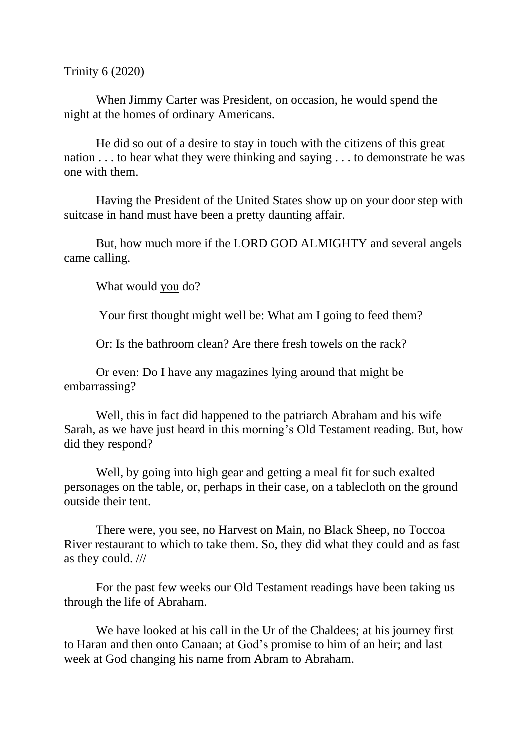Trinity 6 (2020)

When Jimmy Carter was President, on occasion, he would spend the night at the homes of ordinary Americans.

He did so out of a desire to stay in touch with the citizens of this great nation . . . to hear what they were thinking and saying . . . to demonstrate he was one with them.

Having the President of the United States show up on your door step with suitcase in hand must have been a pretty daunting affair.

But, how much more if the LORD GOD ALMIGHTY and several angels came calling.

What would you do?

Your first thought might well be: What am I going to feed them?

Or: Is the bathroom clean? Are there fresh towels on the rack?

Or even: Do I have any magazines lying around that might be embarrassing?

Well, this in fact did happened to the patriarch Abraham and his wife Sarah, as we have just heard in this morning's Old Testament reading. But, how did they respond?

Well, by going into high gear and getting a meal fit for such exalted personages on the table, or, perhaps in their case, on a tablecloth on the ground outside their tent.

There were, you see, no Harvest on Main, no Black Sheep, no Toccoa River restaurant to which to take them. So, they did what they could and as fast as they could. ///

For the past few weeks our Old Testament readings have been taking us through the life of Abraham.

We have looked at his call in the Ur of the Chaldees; at his journey first to Haran and then onto Canaan; at God's promise to him of an heir; and last week at God changing his name from Abram to Abraham.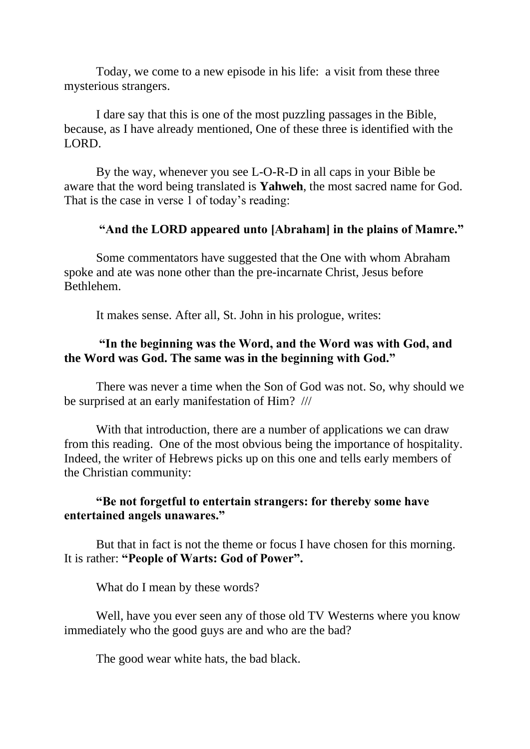Today, we come to a new episode in his life: a visit from these three mysterious strangers.

I dare say that this is one of the most puzzling passages in the Bible, because, as I have already mentioned, One of these three is identified with the LORD.

By the way, whenever you see L-O-R-D in all caps in your Bible be aware that the word being translated is **Yahweh**, the most sacred name for God. That is the case in verse 1 of today's reading:

## **"And the LORD appeared unto [Abraham] in the plains of Mamre."**

Some commentators have suggested that the One with whom Abraham spoke and ate was none other than the pre-incarnate Christ, Jesus before Bethlehem.

It makes sense. After all, St. John in his prologue, writes:

## **"In the beginning was the Word, and the Word was with God, and the Word was God. The same was in the beginning with God."**

There was never a time when the Son of God was not. So, why should we be surprised at an early manifestation of Him? ///

With that introduction, there are a number of applications we can draw from this reading. One of the most obvious being the importance of hospitality. Indeed, the writer of Hebrews picks up on this one and tells early members of the Christian community:

## **"Be not forgetful to entertain strangers: for thereby some have entertained angels unawares."**

But that in fact is not the theme or focus I have chosen for this morning. It is rather: **"People of Warts: God of Power".**

What do I mean by these words?

Well, have you ever seen any of those old TV Westerns where you know immediately who the good guys are and who are the bad?

The good wear white hats, the bad black.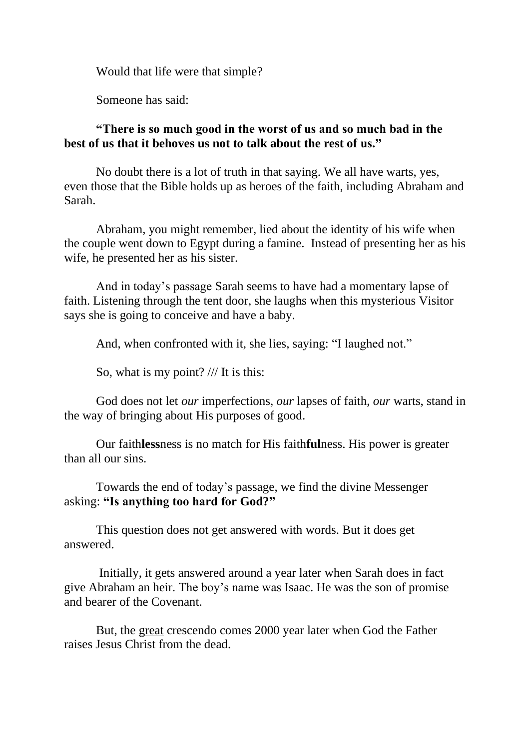Would that life were that simple?

Someone has said:

## **"There is so much good in the worst of us and so much bad in the best of us that it behoves us not to talk about the rest of us."**

No doubt there is a lot of truth in that saying. We all have warts, yes, even those that the Bible holds up as heroes of the faith, including Abraham and Sarah.

Abraham, you might remember, lied about the identity of his wife when the couple went down to Egypt during a famine. Instead of presenting her as his wife, he presented her as his sister.

And in today's passage Sarah seems to have had a momentary lapse of faith. Listening through the tent door, she laughs when this mysterious Visitor says she is going to conceive and have a baby.

And, when confronted with it, she lies, saying: "I laughed not."

So, what is my point? /// It is this:

God does not let *our* imperfections, *our* lapses of faith, *our* warts, stand in the way of bringing about His purposes of good.

Our faith**less**ness is no match for His faith**ful**ness. His power is greater than all our sins.

Towards the end of today's passage, we find the divine Messenger asking: **"Is anything too hard for God?"**

This question does not get answered with words. But it does get answered.

Initially, it gets answered around a year later when Sarah does in fact give Abraham an heir. The boy's name was Isaac. He was the son of promise and bearer of the Covenant.

But, the great crescendo comes 2000 year later when God the Father raises Jesus Christ from the dead.